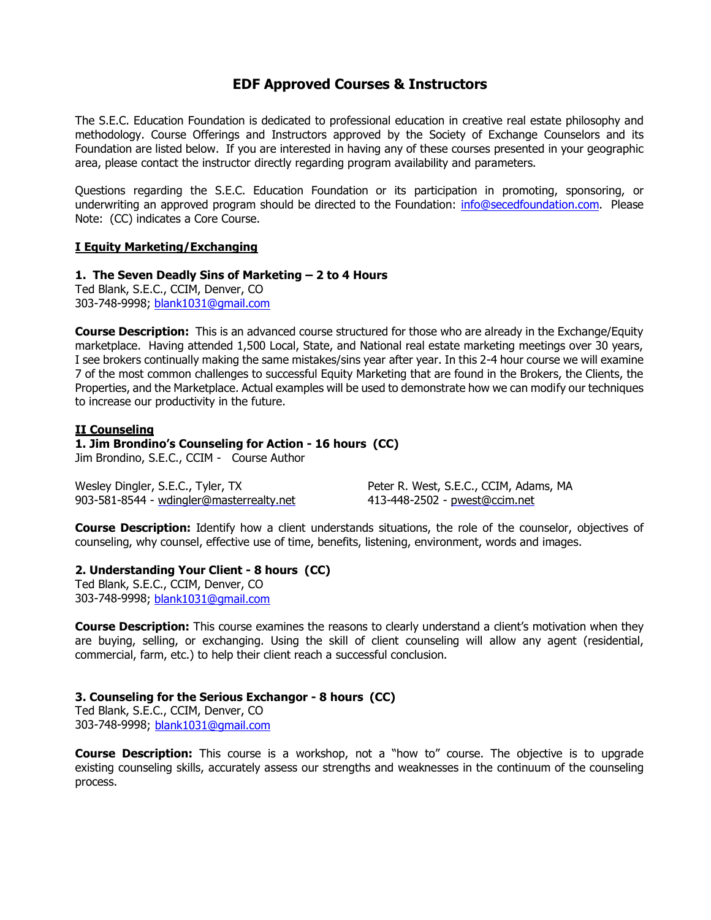# **EDF Approved Courses & Instructors**

The S.E.C. Education Foundation is dedicated to professional education in creative real estate philosophy and methodology. Course Offerings and Instructors approved by the Society of Exchange Counselors and its Foundation are listed below. If you are interested in having any of these courses presented in your geographic area, please contact the instructor directly regarding program availability and parameters.

Questions regarding the S.E.C. Education Foundation or its participation in promoting, sponsoring, or underwriting an approved program should be directed to the Foundation: [info@secedfoundation.com.](mailto:info@secedfoundation.com) Please Note: (CC) indicates a Core Course.

#### **I Equity Marketing/Exchanging**

#### **1. The Seven Deadly Sins of Marketing – 2 to 4 Hours**

Ted Blank, S.E.C., CCIM, Denver, CO 303-748-9998; blank1031@gmail.com

**Course Description:** This is an advanced course structured for those who are already in the Exchange/Equity marketplace. Having attended 1,500 Local, State, and National real estate marketing meetings over 30 years, I see brokers continually making the same mistakes/sins year after year. In this 2-4 hour course we will examine 7 of the most common challenges to successful Equity Marketing that are found in the Brokers, the Clients, the Properties, and the Marketplace. Actual examples will be used to demonstrate how we can modify our techniques to increase our productivity in the future.

#### **II Counseling**

# **1. Jim Brondino's Counseling for Action - 16 hours (CC)**

Jim Brondino, S.E.C., CCIM - Course Author

Wesley Dingler, S.E.C., Tyler, TX Peter R. West, S.E.C., CCIM, Adams, MA 903-581-8544 - [wdingler@masterrealty.net](mailto:wdingler@masterrealty.net) 413-448-2502 - [pwest@ccim.net](mailto:pwest@ccim.net)

**Course Description:** Identify how a client understands situations, the role of the counselor, objectives of counseling, why counsel, effective use of time, benefits, listening, environment, words and images.

#### **2. Understanding Your Client - 8 hours (CC)**

Ted Blank, S.E.C., CCIM, Denver, CO 303-748-9998; blank1031@gmail.com

**Course Description:** This course examines the reasons to clearly understand a client's motivation when they are buying, selling, or exchanging. Using the skill of client counseling will allow any agent (residential, commercial, farm, etc.) to help their client reach a successful conclusion.

#### **3. Counseling for the Serious Exchangor - 8 hours (CC)**

Ted Blank, S.E.C., CCIM, Denver, CO 303-748-9998; [blank1031@gmail.com](mailto:blank1031@gmail.com)

**Course Description:** This course is a workshop, not a "how to" course. The objective is to upgrade existing counseling skills, accurately assess our strengths and weaknesses in the continuum of the counseling process.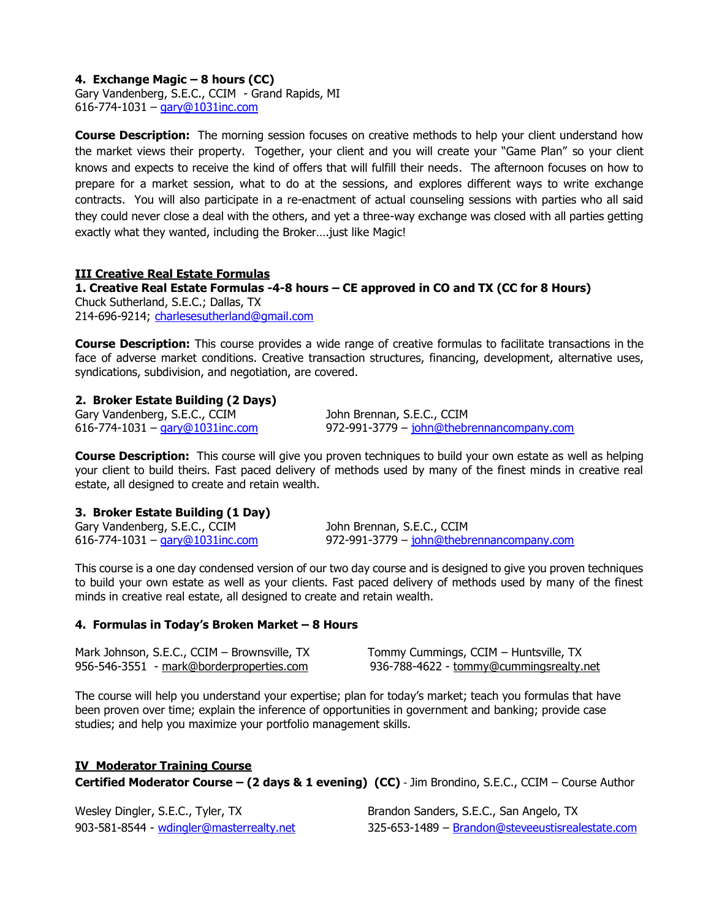# **4. Exchange Magic – 8 hours (CC)**

Gary Vandenberg, S.E.C., CCIM - Grand Rapids, MI 616-774-1031 – [gary@1031inc.com](mailto:gary@1031inc.com)

**Course Description:** The morning session focuses on creative methods to help your client understand how the market views their property. Together, your client and you will create your "Game Plan" so your client knows and expects to receive the kind of offers that will fulfill their needs. The afternoon focuses on how to prepare for a market session, what to do at the sessions, and explores different ways to write exchange contracts. You will also participate in a re-enactment of actual counseling sessions with parties who all said they could never close a deal with the others, and yet a three-way exchange was closed with all parties getting exactly what they wanted, including the Broker….just like Magic!

#### **III Creative Real Estate Formulas**

**1. Creative Real Estate Formulas -4-8 hours – CE approved in CO and TX (CC for 8 Hours)** Chuck Sutherland, S.E.C.; Dallas, TX 214-696-9214; [charlesesutherland@gmail.com](mailto:charlesesutherland@gmail.com)

**Course Description:** This course provides a wide range of creative formulas to facilitate transactions in the face of adverse market conditions. Creative transaction structures, financing, development, alternative uses, syndications, subdivision, and negotiation, are covered.

### **2. Broker Estate Building (2 Days)**

Gary Vandenberg, S.E.C., CCIM John Brennan, S.E.C., CCIM

616-774-1031 – [gary@1031inc.com](mailto:gary@1031inc.com)972-991-3779 – [john@thebrennancompany.com](mailto:john@thebrennancompany.com)

**Course Description:** This course will give you proven techniques to build your own estate as well as helping your client to build theirs. Fast paced delivery of methods used by many of the finest minds in creative real estate, all designed to create and retain wealth.

#### **3. Broker Estate Building (1 Day)**

Gary Vandenberg, S.E.C., CCIM John Brennan, S.E.C., CCIM

616-774-1031 – [gary@1031inc.com](mailto:gary@1031inc.com)972-991-3779 – [john@thebrennancompany.com](mailto:john@thebrennancompany.com)

This course is a one day condensed version of our two day course and is designed to give you proven techniques to build your own estate as well as your clients. Fast paced delivery of methods used by many of the finest minds in creative real estate, all designed to create and retain wealth.

#### **4. Formulas in Today's Broken Market – 8 Hours**

| Mark Johnson, S.E.C., CCIM - Brownsville, TX | Tommy Cummings, CCIM – Huntsville, TX   |
|----------------------------------------------|-----------------------------------------|
| 956-546-3551 - mark@borderproperties.com     | 936-788-4622 - tommy@cummingsrealty.net |

The course will help you understand your expertise; plan for today's market; teach you formulas that have been proven over time; explain the inference of opportunities in government and banking; provide case studies; and help you maximize your portfolio management skills.

# **IV Moderator Training Course**

**Certified Moderator Course – (2 days & 1 evening) (CC)** - Jim Brondino, S.E.C., CCIM – Course Author

Wesley Dingler, S.E.C., Tyler, TX Brandon Sanders, S.E.C., San Angelo, TX

903-581-8544 - [wdingler@masterrealty.net](mailto:wdingler@masterrealty.net) 325-653-1489 – [Brandon@steveeustisrealestate.com](mailto:Brandon@steveeustisrealestate.com)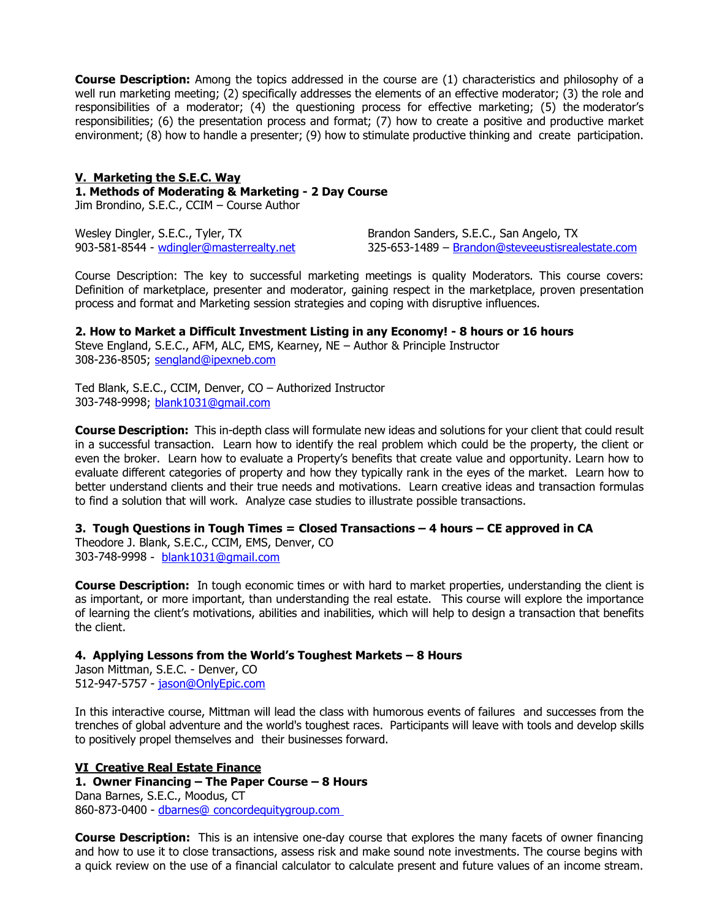**Course Description:** Among the topics addressed in the course are (1) characteristics and philosophy of a well run marketing meeting; (2) specifically addresses the elements of an effective moderator; (3) the role and responsibilities of a moderator; (4) the questioning process for effective marketing; (5) the moderator's responsibilities; (6) the presentation process and format; (7) how to create a positive and productive market environment; (8) how to handle a presenter; (9) how to stimulate productive thinking and create participation.

#### **V. Marketing the S.E.C. Way**

**1. Methods of Moderating & Marketing - 2 Day Course**

Jim Brondino, S.E.C., CCIM – Course Author

Wesley Dingler, S.E.C., Tyler, TX Brandon Sanders, S.E.C., San Angelo, TX

903-581-8544 - [wdingler@masterrealty.net](mailto:wdingler@masterrealty.net) 325-653-1489 – [Brandon@steveeustisrealestate.com](mailto:Brandon@steveeustisrealestate.com)

Course Description: The key to successful marketing meetings is quality Moderators. This course covers: Definition of marketplace, presenter and moderator, gaining respect in the marketplace, proven presentation process and format and Marketing session strategies and coping with disruptive influences.

**2. How to Market a Difficult Investment Listing in any Economy! - 8 hours or 16 hours** Steve England, S.E.C., AFM, ALC, EMS, Kearney, NE – Author & Principle Instructor

308-236-8505; [sengland@ipexneb.com](mailto:sengland@ipexneb.com)

Ted Blank, S.E.C., CCIM, Denver, CO – Authorized Instructor 303-748-9998; [blank1031@gmail.com](mailto:blank1031@gmail.com)

**Course Description:** This in-depth class will formulate new ideas and solutions for your client that could result in a successful transaction. Learn how to identify the real problem which could be the property, the client or even the broker. Learn how to evaluate a Property's benefits that create value and opportunity. Learn how to evaluate different categories of property and how they typically rank in the eyes of the market. Learn how to better understand clients and their true needs and motivations. Learn creative ideas and transaction formulas to find a solution that will work. Analyze case studies to illustrate possible transactions.

# **3. Tough Questions in Tough Times = Closed Transactions – 4 hours – CE approved in CA**

Theodore J. Blank, S.E.C., CCIM, EMS, Denver, CO 303-748-9998 - [blank1031@gmail.com](mailto:blank1031@gmail.com)

**Course Description:** In tough economic times or with hard to market properties, understanding the client is as important, or more important, than understanding the real estate. This course will explore the importance of learning the client's motivations, abilities and inabilities, which will help to design a transaction that benefits the client.

# **4. Applying Lessons from the World's Toughest Markets – 8 Hours**

Jason Mittman, S.E.C. - Denver, CO 512-947-5757 - [jason@OnlyEpic.com](mailto:jason@OnlyEpic.com)

In this interactive course, Mittman will lead the class with humorous events of failures and successes from the trenches of global adventure and the world's toughest races. Participants will leave with tools and develop skills to positively propel themselves and their businesses forward.

#### **VI Creative Real Estate Finance**

**1. Owner Financing – The Paper Course – 8 Hours** Dana Barnes, S.E.C., Moodus, CT 860-873-0400 - [dbarnes@ concordequitygroup.com](mailto:dbarnes@%20concordequitygroup.com) 

**Course Description:** This is an intensive one-day course that explores the many facets of owner financing and how to use it to close transactions, assess risk and make sound note investments. The course begins with a quick review on the use of a financial calculator to calculate present and future values of an income stream.